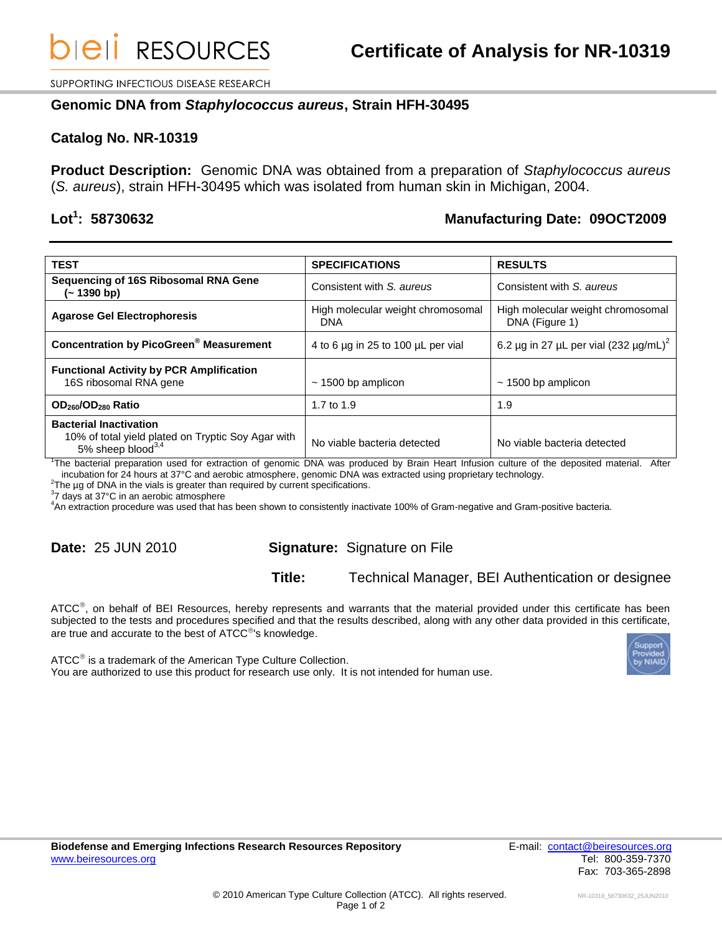SUPPORTING INFECTIOUS DISEASE RESEARCH

### **Genomic DNA from** *Staphylococcus aureus***, Strain HFH-30495**

### **Catalog No. NR-10319**

**Product Description:** Genomic DNA was obtained from a preparation of *Staphylococcus aureus* (*S. aureus*), strain HFH-30495 which was isolated from human skin in Michigan, 2004.

# Lot<sup>1</sup>: 58730632

### **: 58730632 Manufacturing Date: 09OCT2009**

| <b>TEST</b>                                                                                                          | <b>SPECIFICATIONS</b>                    | <b>RESULTS</b>                                      |
|----------------------------------------------------------------------------------------------------------------------|------------------------------------------|-----------------------------------------------------|
| Sequencing of 16S Ribosomal RNA Gene<br>(~ 1390 bp)                                                                  | Consistent with S. aureus                | Consistent with S. aureus                           |
| <b>Agarose Gel Electrophoresis</b>                                                                                   | High molecular weight chromosomal<br>DNA | High molecular weight chromosomal<br>DNA (Figure 1) |
| <b>Concentration by PicoGreen<sup>®</sup> Measurement</b>                                                            | 4 to 6 µg in 25 to 100 µL per vial       | 6.2 µg in 27 µL per vial (232 µg/mL) <sup>2</sup>   |
| <b>Functional Activity by PCR Amplification</b><br>16S ribosomal RNA gene                                            | $\sim$ 1500 bp amplicon                  | $\sim$ 1500 bp amplicon                             |
| OD <sub>260</sub> /OD <sub>280</sub> Ratio                                                                           | 1.7 to 1.9                               | 1.9                                                 |
| <b>Bacterial Inactivation</b><br>10% of total yield plated on Tryptic Soy Agar with<br>5% sheep blood <sup>3,4</sup> | No viable bacteria detected              | No viable bacteria detected                         |

1 The bacterial preparation used for extraction of genomic DNA was produced by Brain Heart Infusion culture of the deposited material. After incubation for 24 hours at 37°C and aerobic atmosphere, genomic DNA was extracted using proprietary technology.

 $2$ The  $\mu$ g of DNA in the vials is greater than required by current specifications.

<sup>3</sup>7 days at 37°C in an aerobic atmosphere

<sup>4</sup>An extraction procedure was used that has been shown to consistently inactivate 100% of Gram-negative and Gram-positive bacteria.

# **Date:** 25 JUN 2010 **Signature:** Signature on File

# **Title:** Technical Manager, BEI Authentication or designee

ATCC<sup>®</sup>, on behalf of BEI Resources, hereby represents and warrants that the material provided under this certificate has been subjected to the tests and procedures specified and that the results described, along with any other data provided in this certificate, are true and accurate to the best of  $ATCC^@$ 's knowledge.

ATCC<sup>®</sup> is a trademark of the American Type Culture Collection. You are authorized to use this product for research use only. It is not intended for human use.